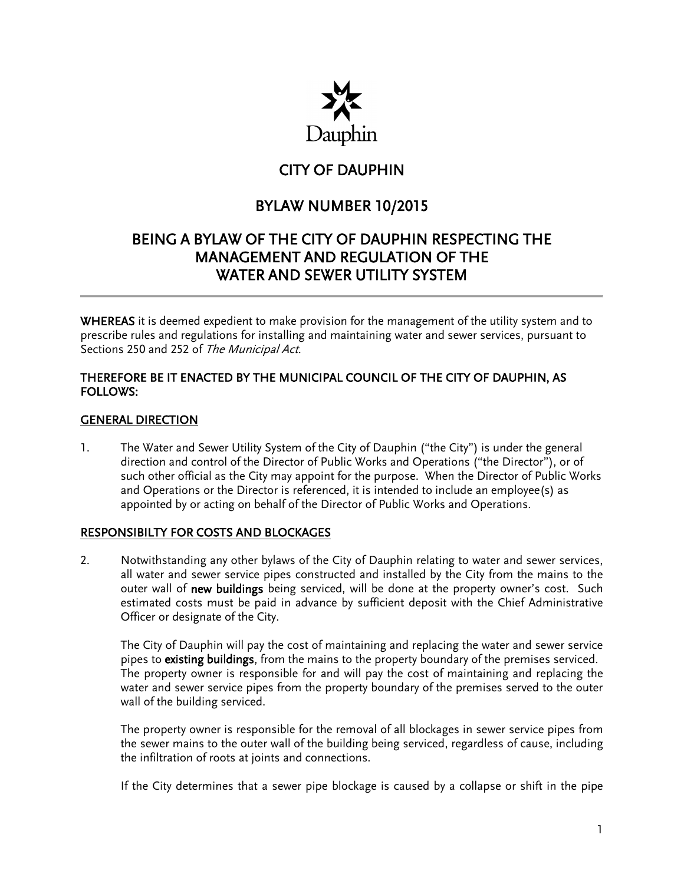

# CITY OF DAUPHIN

# BYLAW NUMBER 10/2015

# BEING A BYLAW OF THE CITY OF DAUPHIN RESPECTING THE MANAGEMENT AND REGULATION OF THE WATER AND SEWER UTILITY SYSTEM

WHEREAS it is deemed expedient to make provision for the management of the utility system and to prescribe rules and regulations for installing and maintaining water and sewer services, pursuant to Sections 250 and 252 of The Municipal Act.

# THEREFORE BE IT ENACTED BY THE MUNICIPAL COUNCIL OF THE CITY OF DAUPHIN, AS FOLLOWS:

## GENERAL DIRECTION

1. The Water and Sewer Utility System of the City of Dauphin ("the City") is under the general direction and control of the Director of Public Works and Operations ("the Director"), or of such other official as the City may appoint for the purpose. When the Director of Public Works and Operations or the Director is referenced, it is intended to include an employee(s) as appointed by or acting on behalf of the Director of Public Works and Operations.

## RESPONSIBILTY FOR COSTS AND BLOCKAGES

2. Notwithstanding any other bylaws of the City of Dauphin relating to water and sewer services, all water and sewer service pipes constructed and installed by the City from the mains to the outer wall of new buildings being serviced, will be done at the property owner's cost. Such estimated costs must be paid in advance by sufficient deposit with the Chief Administrative Officer or designate of the City.

The City of Dauphin will pay the cost of maintaining and replacing the water and sewer service pipes to existing buildings, from the mains to the property boundary of the premises serviced. The property owner is responsible for and will pay the cost of maintaining and replacing the water and sewer service pipes from the property boundary of the premises served to the outer wall of the building serviced.

The property owner is responsible for the removal of all blockages in sewer service pipes from the sewer mains to the outer wall of the building being serviced, regardless of cause, including the infiltration of roots at joints and connections.

If the City determines that a sewer pipe blockage is caused by a collapse or shift in the pipe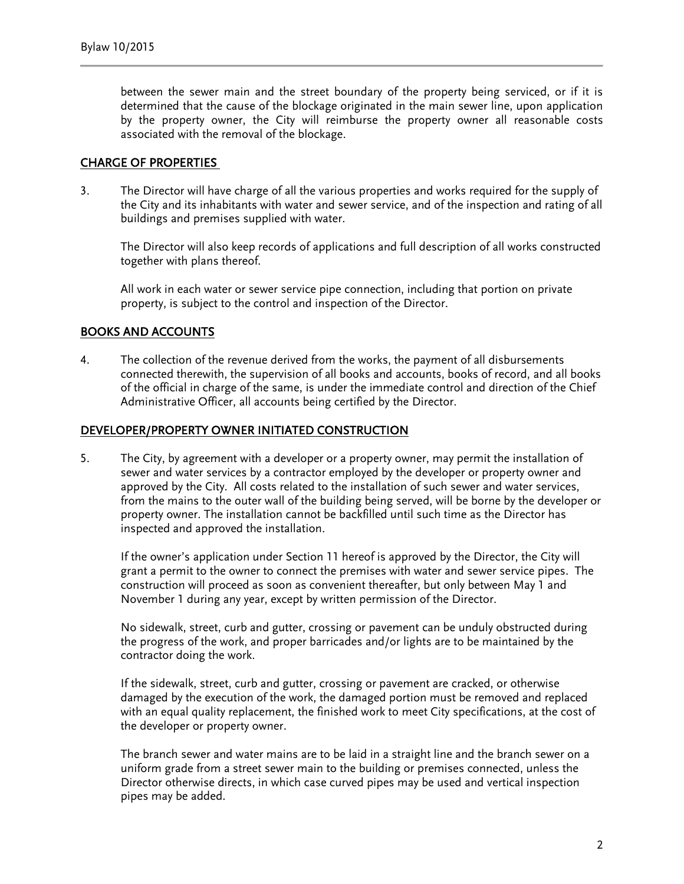between the sewer main and the street boundary of the property being serviced, or if it is determined that the cause of the blockage originated in the main sewer line, upon application by the property owner, the City will reimburse the property owner all reasonable costs associated with the removal of the blockage.

#### CHARGE OF PROPERTIES

3. The Director will have charge of all the various properties and works required for the supply of the City and its inhabitants with water and sewer service, and of the inspection and rating of all buildings and premises supplied with water.

The Director will also keep records of applications and full description of all works constructed together with plans thereof.

All work in each water or sewer service pipe connection, including that portion on private property, is subject to the control and inspection of the Director.

## BOOKS AND ACCOUNTS

4. The collection of the revenue derived from the works, the payment of all disbursements connected therewith, the supervision of all books and accounts, books of record, and all books of the official in charge of the same, is under the immediate control and direction of the Chief Administrative Officer, all accounts being certified by the Director.

#### DEVELOPER/PROPERTY OWNER INITIATED CONSTRUCTION

5. The City, by agreement with a developer or a property owner, may permit the installation of sewer and water services by a contractor employed by the developer or property owner and approved by the City. All costs related to the installation of such sewer and water services, from the mains to the outer wall of the building being served, will be borne by the developer or property owner. The installation cannot be backfilled until such time as the Director has inspected and approved the installation.

If the owner's application under Section 11 hereof is approved by the Director, the City will grant a permit to the owner to connect the premises with water and sewer service pipes. The construction will proceed as soon as convenient thereafter, but only between May 1 and November 1 during any year, except by written permission of the Director.

No sidewalk, street, curb and gutter, crossing or pavement can be unduly obstructed during the progress of the work, and proper barricades and/or lights are to be maintained by the contractor doing the work.

If the sidewalk, street, curb and gutter, crossing or pavement are cracked, or otherwise damaged by the execution of the work, the damaged portion must be removed and replaced with an equal quality replacement, the finished work to meet City specifications, at the cost of the developer or property owner.

The branch sewer and water mains are to be laid in a straight line and the branch sewer on a uniform grade from a street sewer main to the building or premises connected, unless the Director otherwise directs, in which case curved pipes may be used and vertical inspection pipes may be added.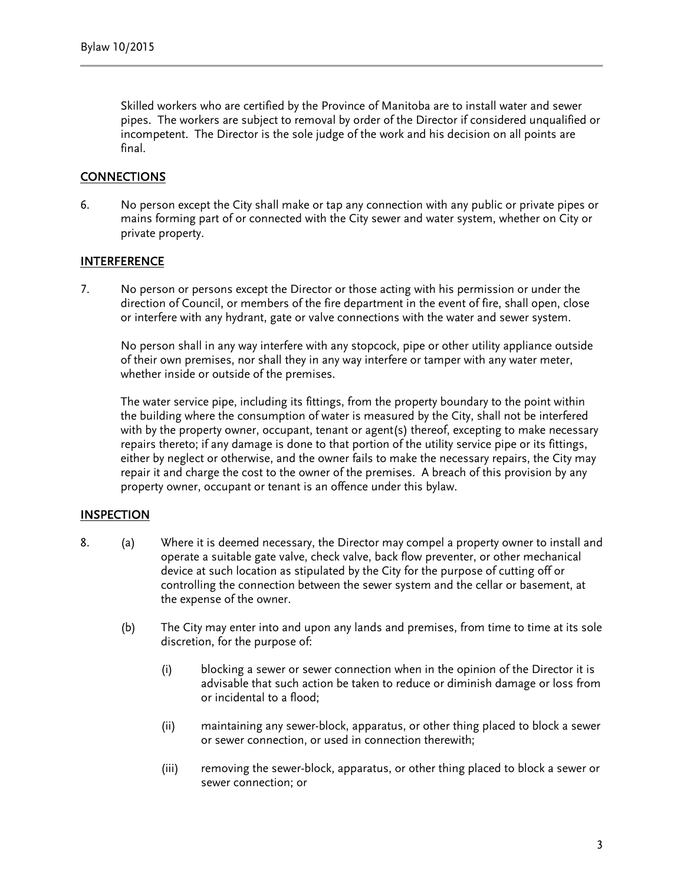Skilled workers who are certified by the Province of Manitoba are to install water and sewer pipes. The workers are subject to removal by order of the Director if considered unqualified or incompetent. The Director is the sole judge of the work and his decision on all points are final.

# CONNECTIONS

6. No person except the City shall make or tap any connection with any public or private pipes or mains forming part of or connected with the City sewer and water system, whether on City or private property.

#### INTERFERENCE

7. No person or persons except the Director or those acting with his permission or under the direction of Council, or members of the fire department in the event of fire, shall open, close or interfere with any hydrant, gate or valve connections with the water and sewer system.

No person shall in any way interfere with any stopcock, pipe or other utility appliance outside of their own premises, nor shall they in any way interfere or tamper with any water meter, whether inside or outside of the premises.

The water service pipe, including its fittings, from the property boundary to the point within the building where the consumption of water is measured by the City, shall not be interfered with by the property owner, occupant, tenant or agent(s) thereof, excepting to make necessary repairs thereto; if any damage is done to that portion of the utility service pipe or its fittings, either by neglect or otherwise, and the owner fails to make the necessary repairs, the City may repair it and charge the cost to the owner of the premises. A breach of this provision by any property owner, occupant or tenant is an offence under this bylaw.

## INSPECTION

- 8. (a) Where it is deemed necessary, the Director may compel a property owner to install and operate a suitable gate valve, check valve, back flow preventer, or other mechanical device at such location as stipulated by the City for the purpose of cutting off or controlling the connection between the sewer system and the cellar or basement, at the expense of the owner.
	- (b) The City may enter into and upon any lands and premises, from time to time at its sole discretion, for the purpose of:
		- (i) blocking a sewer or sewer connection when in the opinion of the Director it is advisable that such action be taken to reduce or diminish damage or loss from or incidental to a flood;
		- (ii) maintaining any sewer-block, apparatus, or other thing placed to block a sewer or sewer connection, or used in connection therewith;
		- (iii) removing the sewer-block, apparatus, or other thing placed to block a sewer or sewer connection; or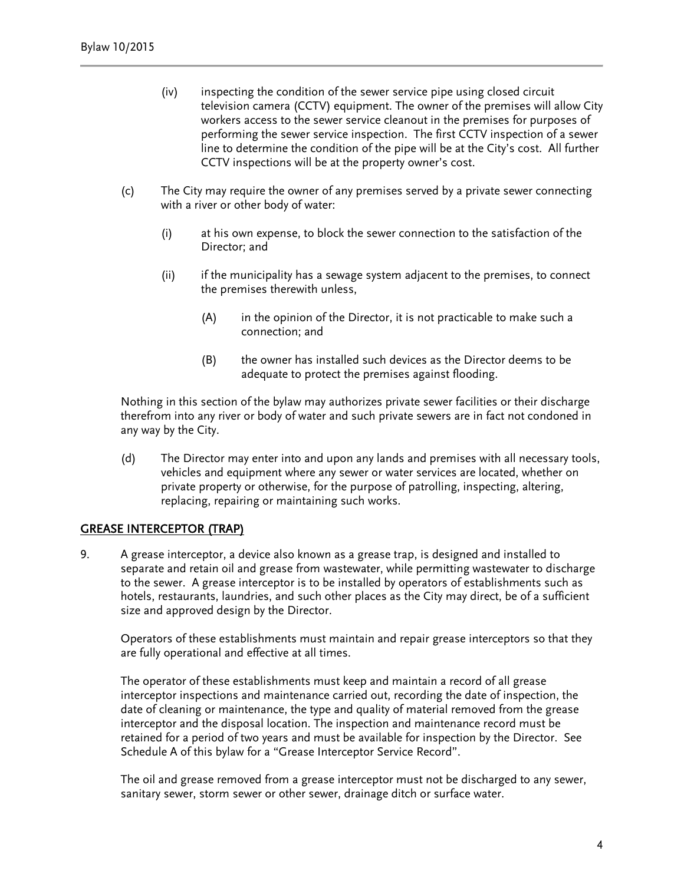- (iv) inspecting the condition of the sewer service pipe using closed circuit television camera (CCTV) equipment. The owner of the premises will allow City workers access to the sewer service cleanout in the premises for purposes of performing the sewer service inspection. The first CCTV inspection of a sewer line to determine the condition of the pipe will be at the City's cost. All further CCTV inspections will be at the property owner's cost.
- (c) The City may require the owner of any premises served by a private sewer connecting with a river or other body of water:
	- (i) at his own expense, to block the sewer connection to the satisfaction of the Director; and
	- (ii) if the municipality has a sewage system adjacent to the premises, to connect the premises therewith unless,
		- (A) in the opinion of the Director, it is not practicable to make such a connection; and
		- (B) the owner has installed such devices as the Director deems to be adequate to protect the premises against flooding.

Nothing in this section of the bylaw may authorizes private sewer facilities or their discharge therefrom into any river or body of water and such private sewers are in fact not condoned in any way by the City.

(d) The Director may enter into and upon any lands and premises with all necessary tools, vehicles and equipment where any sewer or water services are located, whether on private property or otherwise, for the purpose of patrolling, inspecting, altering, replacing, repairing or maintaining such works.

## GREASE INTERCEPTOR (TRAP)

9. A grease interceptor, a device also known as a grease trap, is designed and installed to separate and retain oil and grease from wastewater, while permitting wastewater to discharge to the sewer. A grease interceptor is to be installed by operators of establishments such as hotels, restaurants, laundries, and such other places as the City may direct, be of a sufficient size and approved design by the Director.

Operators of these establishments must maintain and repair grease interceptors so that they are fully operational and effective at all times.

The operator of these establishments must keep and maintain a record of all grease interceptor inspections and maintenance carried out, recording the date of inspection, the date of cleaning or maintenance, the type and quality of material removed from the grease interceptor and the disposal location. The inspection and maintenance record must be retained for a period of two years and must be available for inspection by the Director. See Schedule A of this bylaw for a "Grease Interceptor Service Record".

The oil and grease removed from a grease interceptor must not be discharged to any sewer, sanitary sewer, storm sewer or other sewer, drainage ditch or surface water.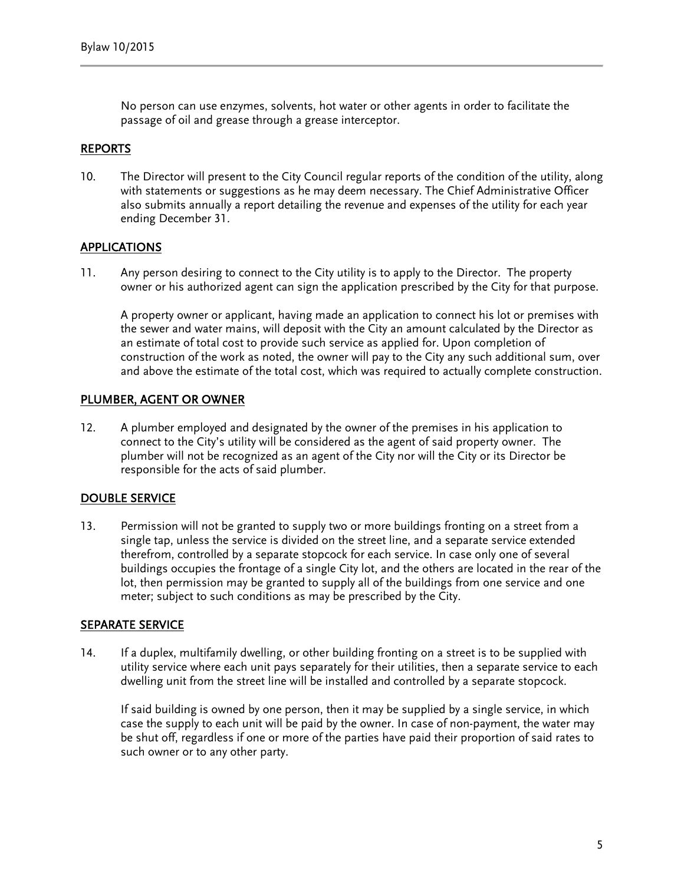No person can use enzymes, solvents, hot water or other agents in order to facilitate the passage of oil and grease through a grease interceptor.

#### REPORTS

10. The Director will present to the City Council regular reports of the condition of the utility, along with statements or suggestions as he may deem necessary. The Chief Administrative Officer also submits annually a report detailing the revenue and expenses of the utility for each year ending December 31.

# APPLICATIONS

11. Any person desiring to connect to the City utility is to apply to the Director. The property owner or his authorized agent can sign the application prescribed by the City for that purpose.

A property owner or applicant, having made an application to connect his lot or premises with the sewer and water mains, will deposit with the City an amount calculated by the Director as an estimate of total cost to provide such service as applied for. Upon completion of construction of the work as noted, the owner will pay to the City any such additional sum, over and above the estimate of the total cost, which was required to actually complete construction.

#### PLUMBER, AGENT OR OWNER

12. A plumber employed and designated by the owner of the premises in his application to connect to the City's utility will be considered as the agent of said property owner. The plumber will not be recognized as an agent of the City nor will the City or its Director be responsible for the acts of said plumber.

## DOUBLE SERVICE

13. Permission will not be granted to supply two or more buildings fronting on a street from a single tap, unless the service is divided on the street line, and a separate service extended therefrom, controlled by a separate stopcock for each service. In case only one of several buildings occupies the frontage of a single City lot, and the others are located in the rear of the lot, then permission may be granted to supply all of the buildings from one service and one meter; subject to such conditions as may be prescribed by the City.

#### SEPARATE SERVICE

14. If a duplex, multifamily dwelling, or other building fronting on a street is to be supplied with utility service where each unit pays separately for their utilities, then a separate service to each dwelling unit from the street line will be installed and controlled by a separate stopcock.

If said building is owned by one person, then it may be supplied by a single service, in which case the supply to each unit will be paid by the owner. In case of non-payment, the water may be shut off, regardless if one or more of the parties have paid their proportion of said rates to such owner or to any other party.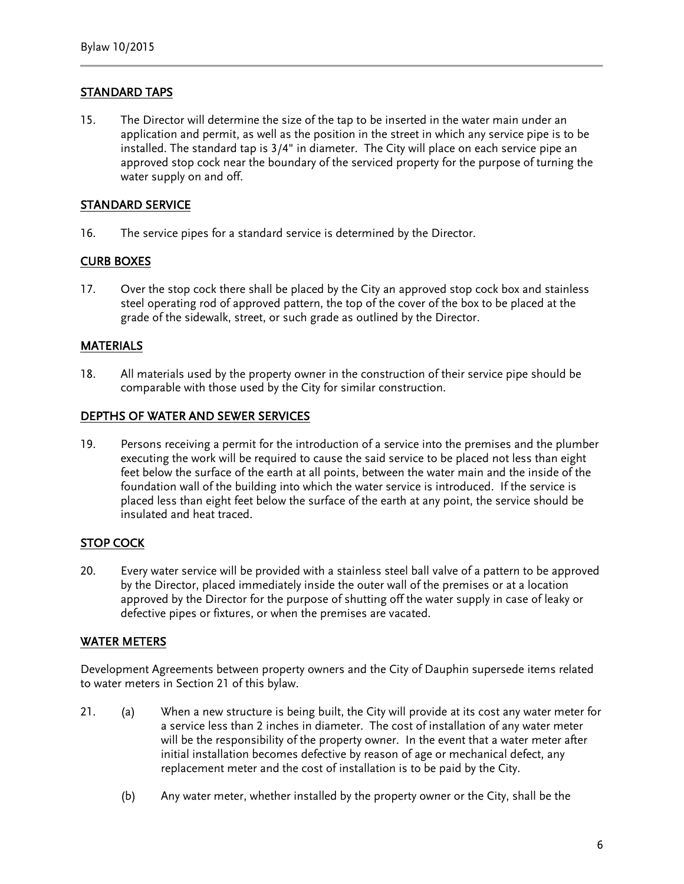# STANDARD TAPS

15. The Director will determine the size of the tap to be inserted in the water main under an application and permit, as well as the position in the street in which any service pipe is to be installed. The standard tap is 3/4" in diameter. The City will place on each service pipe an approved stop cock near the boundary of the serviced property for the purpose of turning the water supply on and off.

# STANDARD SERVICE

16. The service pipes for a standard service is determined by the Director.

## CURB BOXES

17. Over the stop cock there shall be placed by the City an approved stop cock box and stainless steel operating rod of approved pattern, the top of the cover of the box to be placed at the grade of the sidewalk, street, or such grade as outlined by the Director.

## **MATERIALS**

18. All materials used by the property owner in the construction of their service pipe should be comparable with those used by the City for similar construction.

## DEPTHS OF WATER AND SEWER SERVICES

19. Persons receiving a permit for the introduction of a service into the premises and the plumber executing the work will be required to cause the said service to be placed not less than eight feet below the surface of the earth at all points, between the water main and the inside of the foundation wall of the building into which the water service is introduced. If the service is placed less than eight feet below the surface of the earth at any point, the service should be insulated and heat traced.

## STOP COCK

20. Every water service will be provided with a stainless steel ball valve of a pattern to be approved by the Director, placed immediately inside the outer wall of the premises or at a location approved by the Director for the purpose of shutting off the water supply in case of leaky or defective pipes or fixtures, or when the premises are vacated.

## WATER METERS

Development Agreements between property owners and the City of Dauphin supersede items related to water meters in Section 21 of this bylaw.

- 21. (a) When a new structure is being built, the City will provide at its cost any water meter for a service less than 2 inches in diameter. The cost of installation of any water meter will be the responsibility of the property owner. In the event that a water meter after initial installation becomes defective by reason of age or mechanical defect, any replacement meter and the cost of installation is to be paid by the City.
	- (b) Any water meter, whether installed by the property owner or the City, shall be the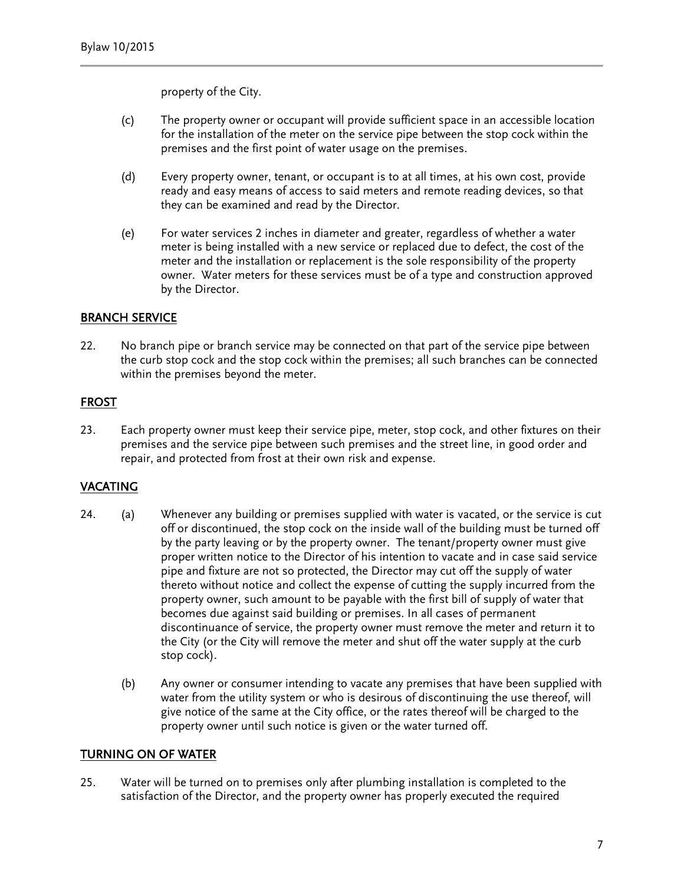property of the City.

- (c) The property owner or occupant will provide sufficient space in an accessible location for the installation of the meter on the service pipe between the stop cock within the premises and the first point of water usage on the premises.
- (d) Every property owner, tenant, or occupant is to at all times, at his own cost, provide ready and easy means of access to said meters and remote reading devices, so that they can be examined and read by the Director.
- (e) For water services 2 inches in diameter and greater, regardless of whether a water meter is being installed with a new service or replaced due to defect, the cost of the meter and the installation or replacement is the sole responsibility of the property owner. Water meters for these services must be of a type and construction approved by the Director.

# BRANCH SERVICE

22. No branch pipe or branch service may be connected on that part of the service pipe between the curb stop cock and the stop cock within the premises; all such branches can be connected within the premises beyond the meter.

# FROST

23. Each property owner must keep their service pipe, meter, stop cock, and other fixtures on their premises and the service pipe between such premises and the street line, in good order and repair, and protected from frost at their own risk and expense.

## VACATING

- 24. (a) Whenever any building or premises supplied with water is vacated, or the service is cut off or discontinued, the stop cock on the inside wall of the building must be turned off by the party leaving or by the property owner. The tenant/property owner must give proper written notice to the Director of his intention to vacate and in case said service pipe and fixture are not so protected, the Director may cut off the supply of water thereto without notice and collect the expense of cutting the supply incurred from the property owner, such amount to be payable with the first bill of supply of water that becomes due against said building or premises. In all cases of permanent discontinuance of service, the property owner must remove the meter and return it to the City (or the City will remove the meter and shut off the water supply at the curb stop cock).
	- (b) Any owner or consumer intending to vacate any premises that have been supplied with water from the utility system or who is desirous of discontinuing the use thereof, will give notice of the same at the City office, or the rates thereof will be charged to the property owner until such notice is given or the water turned off.

## TURNING ON OF WATER

25. Water will be turned on to premises only after plumbing installation is completed to the satisfaction of the Director, and the property owner has properly executed the required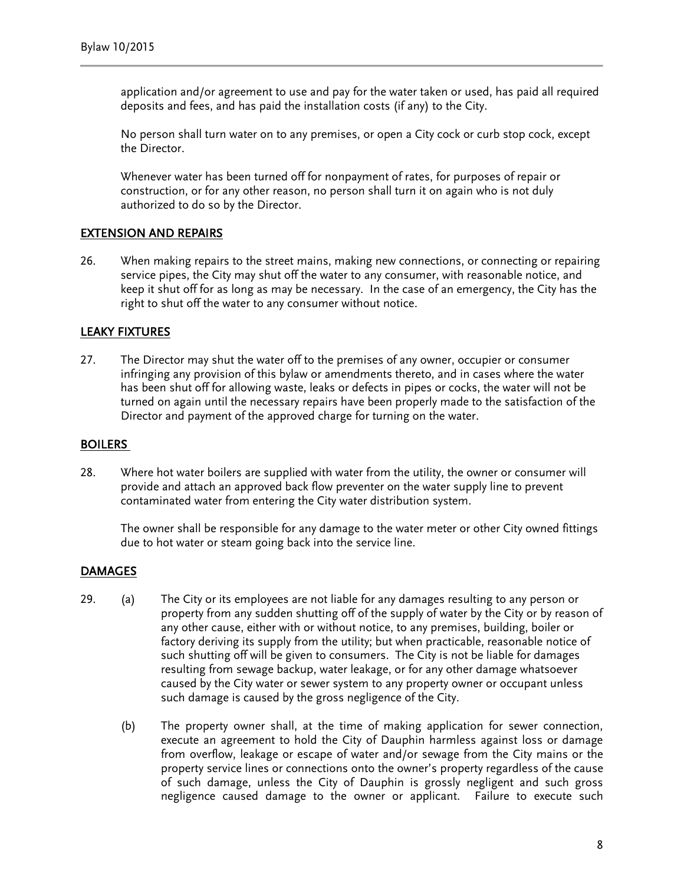application and/or agreement to use and pay for the water taken or used, has paid all required deposits and fees, and has paid the installation costs (if any) to the City.

No person shall turn water on to any premises, or open a City cock or curb stop cock, except the Director.

Whenever water has been turned off for nonpayment of rates, for purposes of repair or construction, or for any other reason, no person shall turn it on again who is not duly authorized to do so by the Director.

## EXTENSION AND REPAIRS

26. When making repairs to the street mains, making new connections, or connecting or repairing service pipes, the City may shut off the water to any consumer, with reasonable notice, and keep it shut off for as long as may be necessary. In the case of an emergency, the City has the right to shut off the water to any consumer without notice.

#### LEAKY FIXTURES

27. The Director may shut the water off to the premises of any owner, occupier or consumer infringing any provision of this bylaw or amendments thereto, and in cases where the water has been shut off for allowing waste, leaks or defects in pipes or cocks, the water will not be turned on again until the necessary repairs have been properly made to the satisfaction of the Director and payment of the approved charge for turning on the water.

#### BOILERS

28. Where hot water boilers are supplied with water from the utility, the owner or consumer will provide and attach an approved back flow preventer on the water supply line to prevent contaminated water from entering the City water distribution system.

The owner shall be responsible for any damage to the water meter or other City owned fittings due to hot water or steam going back into the service line.

#### DAMAGES

- 29. (a) The City or its employees are not liable for any damages resulting to any person or property from any sudden shutting off of the supply of water by the City or by reason of any other cause, either with or without notice, to any premises, building, boiler or factory deriving its supply from the utility; but when practicable, reasonable notice of such shutting off will be given to consumers. The City is not be liable for damages resulting from sewage backup, water leakage, or for any other damage whatsoever caused by the City water or sewer system to any property owner or occupant unless such damage is caused by the gross negligence of the City.
	- (b) The property owner shall, at the time of making application for sewer connection, execute an agreement to hold the City of Dauphin harmless against loss or damage from overflow, leakage or escape of water and/or sewage from the City mains or the property service lines or connections onto the owner's property regardless of the cause of such damage, unless the City of Dauphin is grossly negligent and such gross negligence caused damage to the owner or applicant. Failure to execute such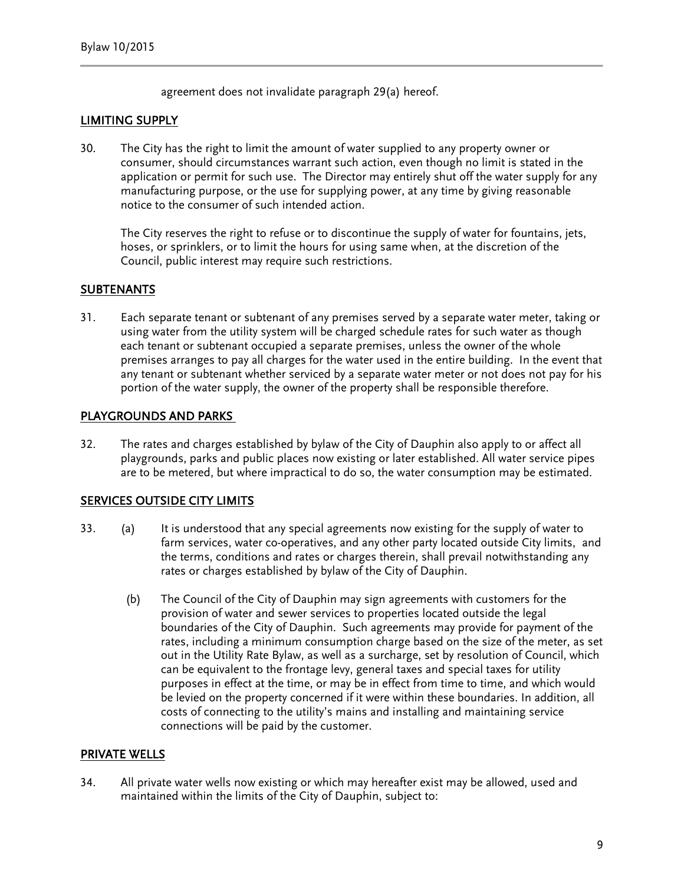agreement does not invalidate paragraph 29(a) hereof.

#### LIMITING SUPPLY

30. The City has the right to limit the amount of water supplied to any property owner or consumer, should circumstances warrant such action, even though no limit is stated in the application or permit for such use. The Director may entirely shut off the water supply for any manufacturing purpose, or the use for supplying power, at any time by giving reasonable notice to the consumer of such intended action.

The City reserves the right to refuse or to discontinue the supply of water for fountains, jets, hoses, or sprinklers, or to limit the hours for using same when, at the discretion of the Council, public interest may require such restrictions.

## **SUBTENANTS**

31. Each separate tenant or subtenant of any premises served by a separate water meter, taking or using water from the utility system will be charged schedule rates for such water as though each tenant or subtenant occupied a separate premises, unless the owner of the whole premises arranges to pay all charges for the water used in the entire building. In the event that any tenant or subtenant whether serviced by a separate water meter or not does not pay for his portion of the water supply, the owner of the property shall be responsible therefore.

#### PLAYGROUNDS AND PARKS

32. The rates and charges established by bylaw of the City of Dauphin also apply to or affect all playgrounds, parks and public places now existing or later established. All water service pipes are to be metered, but where impractical to do so, the water consumption may be estimated.

## SERVICES OUTSIDE CITY LIMITS

- 33. (a) It is understood that any special agreements now existing for the supply of water to farm services, water co-operatives, and any other party located outside City limits, and the terms, conditions and rates or charges therein, shall prevail notwithstanding any rates or charges established by bylaw of the City of Dauphin.
	- (b) The Council of the City of Dauphin may sign agreements with customers for the provision of water and sewer services to properties located outside the legal boundaries of the City of Dauphin. Such agreements may provide for payment of the rates, including a minimum consumption charge based on the size of the meter, as set out in the Utility Rate Bylaw, as well as a surcharge, set by resolution of Council, which can be equivalent to the frontage levy, general taxes and special taxes for utility purposes in effect at the time, or may be in effect from time to time, and which would be levied on the property concerned if it were within these boundaries. In addition, all costs of connecting to the utility's mains and installing and maintaining service connections will be paid by the customer.

## PRIVATE WELLS

34. All private water wells now existing or which may hereafter exist may be allowed, used and maintained within the limits of the City of Dauphin, subject to: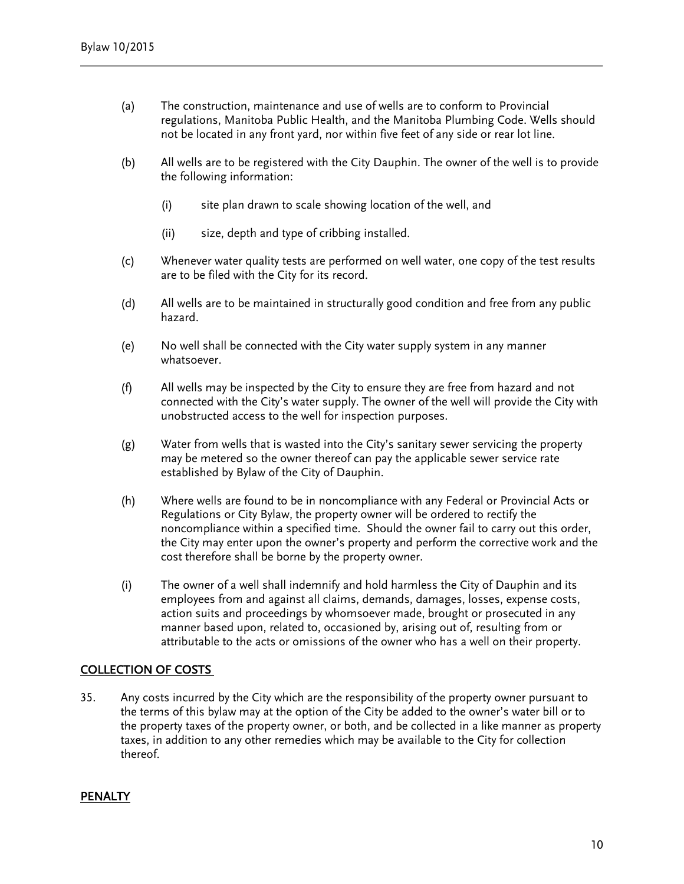- (a) The construction, maintenance and use of wells are to conform to Provincial regulations, Manitoba Public Health, and the Manitoba Plumbing Code. Wells should not be located in any front yard, nor within five feet of any side or rear lot line.
- (b) All wells are to be registered with the City Dauphin. The owner of the well is to provide the following information:
	- (i) site plan drawn to scale showing location of the well, and
	- (ii) size, depth and type of cribbing installed.
- (c) Whenever water quality tests are performed on well water, one copy of the test results are to be filed with the City for its record.
- (d) All wells are to be maintained in structurally good condition and free from any public hazard.
- (e) No well shall be connected with the City water supply system in any manner whatsoever.
- (f) All wells may be inspected by the City to ensure they are free from hazard and not connected with the City's water supply. The owner of the well will provide the City with unobstructed access to the well for inspection purposes.
- (g) Water from wells that is wasted into the City's sanitary sewer servicing the property may be metered so the owner thereof can pay the applicable sewer service rate established by Bylaw of the City of Dauphin.
- (h) Where wells are found to be in noncompliance with any Federal or Provincial Acts or Regulations or City Bylaw, the property owner will be ordered to rectify the noncompliance within a specified time. Should the owner fail to carry out this order, the City may enter upon the owner's property and perform the corrective work and the cost therefore shall be borne by the property owner.
- (i) The owner of a well shall indemnify and hold harmless the City of Dauphin and its employees from and against all claims, demands, damages, losses, expense costs, action suits and proceedings by whomsoever made, brought or prosecuted in any manner based upon, related to, occasioned by, arising out of, resulting from or attributable to the acts or omissions of the owner who has a well on their property.

## COLLECTION OF COSTS

35. Any costs incurred by the City which are the responsibility of the property owner pursuant to the terms of this bylaw may at the option of the City be added to the owner's water bill or to the property taxes of the property owner, or both, and be collected in a like manner as property taxes, in addition to any other remedies which may be available to the City for collection thereof.

#### **PENALTY**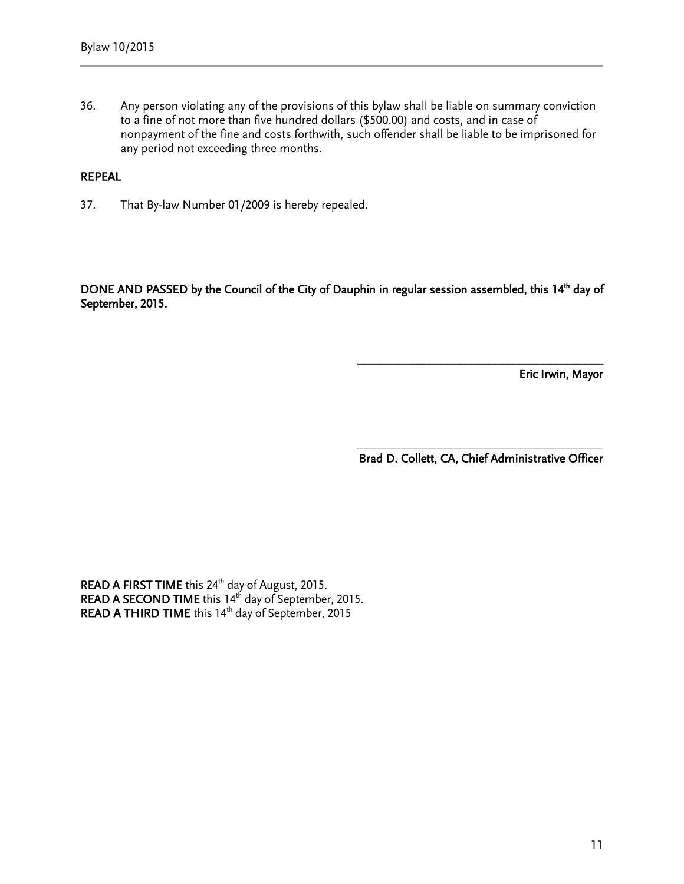36. Any person violating any of the provisions of this bylaw shall be liable on summary conviction to a fine of not more than five hundred dollars (\$500.00) and costs, and in case of nonpayment of the fine and costs forthwith, such offender shall be liable to be imprisoned for any period not exceeding three months.

#### REPEAL

37. That By-law Number 01/2009 is hereby repealed.

DONE AND PASSED by the Council of the City of Dauphin in regular session assembled, this 14<sup>th</sup> day of September, 2015.

 $\overline{\phantom{a}}$ 

Eric Irwin, Mayor

 $\overline{\phantom{a}}$  ,  $\overline{\phantom{a}}$  ,  $\overline{\phantom{a}}$  ,  $\overline{\phantom{a}}$  ,  $\overline{\phantom{a}}$  ,  $\overline{\phantom{a}}$  ,  $\overline{\phantom{a}}$  ,  $\overline{\phantom{a}}$  ,  $\overline{\phantom{a}}$  ,  $\overline{\phantom{a}}$  ,  $\overline{\phantom{a}}$  ,  $\overline{\phantom{a}}$  ,  $\overline{\phantom{a}}$  ,  $\overline{\phantom{a}}$  ,  $\overline{\phantom{a}}$  ,  $\overline{\phantom{a}}$ Brad D. Collett, CA, Chief Administrative Officer

READ A FIRST TIME this  $24<sup>th</sup>$  day of August, 2015. READ A SECOND TIME this 14<sup>th</sup> day of September, 2015. READ A THIRD TIME this 14<sup>th</sup> day of September, 2015